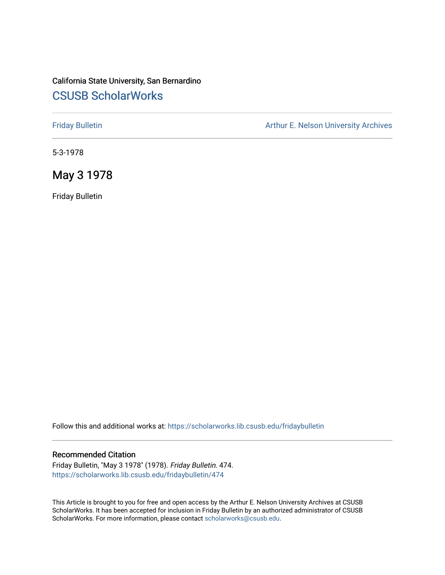## California State University, San Bernardino [CSUSB ScholarWorks](https://scholarworks.lib.csusb.edu/)

[Friday Bulletin](https://scholarworks.lib.csusb.edu/fridaybulletin) **Arthur E. Nelson University Archives** Arthur E. Nelson University Archives

5-3-1978

May 3 1978

Friday Bulletin

Follow this and additional works at: [https://scholarworks.lib.csusb.edu/fridaybulletin](https://scholarworks.lib.csusb.edu/fridaybulletin?utm_source=scholarworks.lib.csusb.edu%2Ffridaybulletin%2F474&utm_medium=PDF&utm_campaign=PDFCoverPages)

## Recommended Citation

Friday Bulletin, "May 3 1978" (1978). Friday Bulletin. 474. [https://scholarworks.lib.csusb.edu/fridaybulletin/474](https://scholarworks.lib.csusb.edu/fridaybulletin/474?utm_source=scholarworks.lib.csusb.edu%2Ffridaybulletin%2F474&utm_medium=PDF&utm_campaign=PDFCoverPages)

This Article is brought to you for free and open access by the Arthur E. Nelson University Archives at CSUSB ScholarWorks. It has been accepted for inclusion in Friday Bulletin by an authorized administrator of CSUSB ScholarWorks. For more information, please contact [scholarworks@csusb.edu.](mailto:scholarworks@csusb.edu)